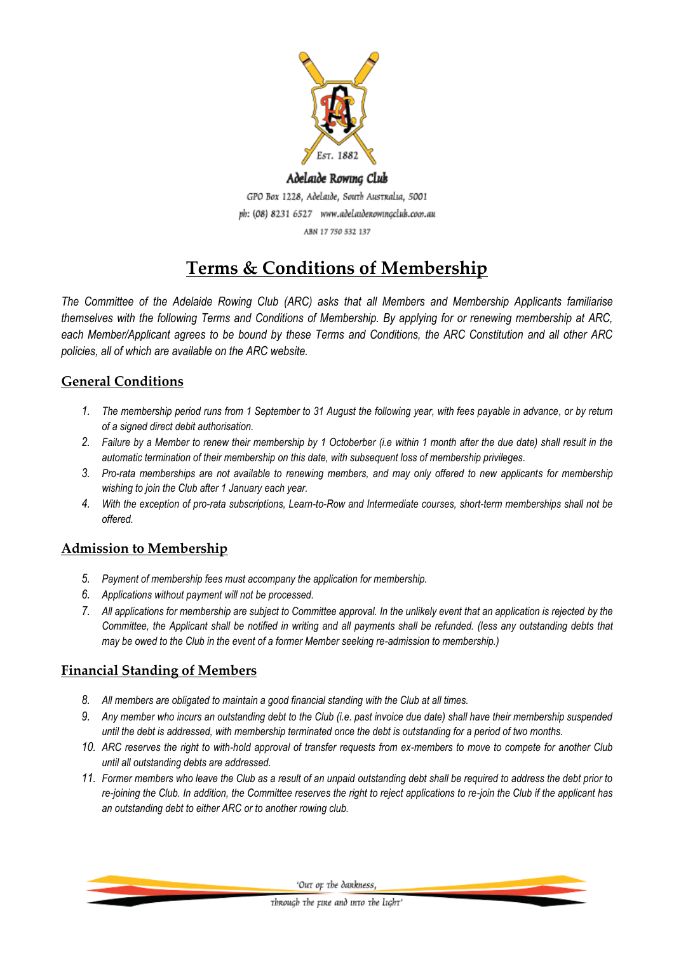

# Adelaide Rowing Club GPO Box 1228, Adelaide, South Australia, 5001 ph: (08) 8231 6527 www.adelaidenowingclub.com.au ABN 17 750 532 137

# **Terms & Conditions of Membership**

*The Committee of the Adelaide Rowing Club (ARC) asks that all Members and Membership Applicants familiarise themselves with the following Terms and Conditions of Membership. By applying for or renewing membership at ARC, each Member/Applicant agrees to be bound by these Terms and Conditions, the ARC Constitution and all other ARC policies, all of which are available on the ARC website.*

# **General Conditions**

- *1. The membership period runs from 1 September to 31 August the following year, with fees payable in advance, or by return of a signed direct debit authorisation.*
- *2. Failure by a Member to renew their membership by 1 Octoberber (i.e within 1 month after the due date) shall result in the automatic termination of their membership on this date, with subsequent loss of membership privileges.*
- *3. Pro-rata memberships are not available to renewing members, and may only offered to new applicants for membership wishing to join the Club after 1 January each year.*
- *4. With the exception of pro-rata subscriptions, Learn-to-Row and Intermediate courses, short-term memberships shall not be offered.*

# **Admission to Membership**

- *5. Payment of membership fees must accompany the application for membership.*
- *6. Applications without payment will not be processed.*
- *7. All applications for membership are subject to Committee approval. In the unlikely event that an application is rejected by the Committee, the Applicant shall be notified in writing and all payments shall be refunded. (less any outstanding debts that may be owed to the Club in the event of a former Member seeking re-admission to membership.)*

# **Financial Standing of Members**

- *8. All members are obligated to maintain a good financial standing with the Club at all times.*
- *9. Any member who incurs an outstanding debt to the Club (i.e. past invoice due date) shall have their membership suspended until the debt is addressed, with membership terminated once the debt is outstanding for a period of two months.*
- *10. ARC reserves the right to with-hold approval of transfer requests from ex-members to move to compete for another Club until all outstanding debts are addressed.*
- *11. Former members who leave the Club as a result of an unpaid outstanding debt shall be required to address the debt prior to re-joining the Club. In addition, the Committee reserves the right to reject applications to re-join the Club if the applicant has an outstanding debt to either ARC or to another rowing club.*

'Out or the dankness,

through the rine and into the light'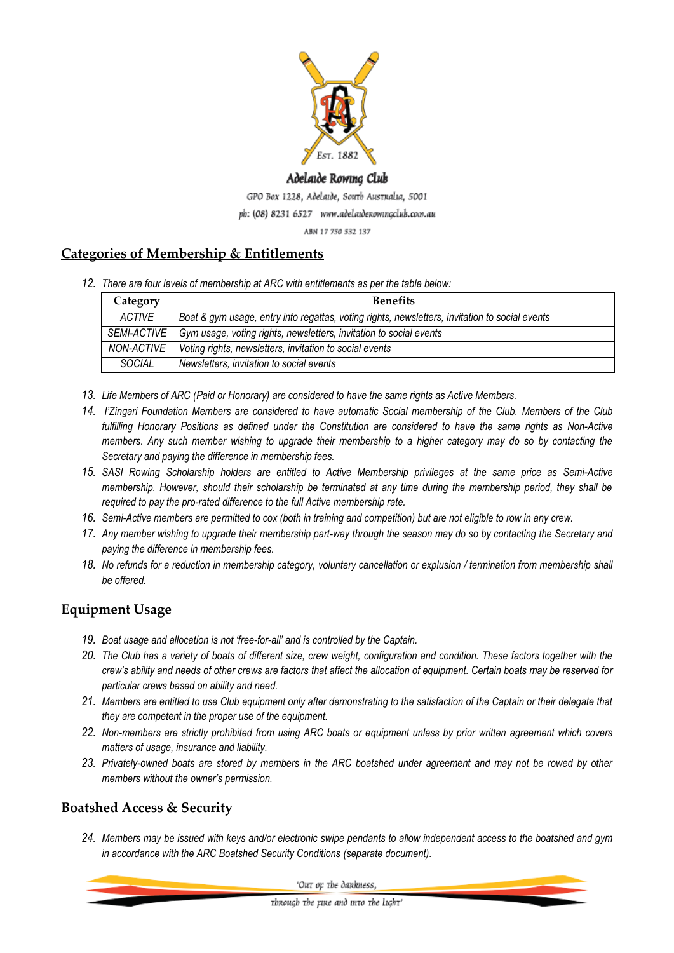

#### Adelaide Rowing Club

GPO Box 1228, Adelaide, South Australia, 5001

ph: (08) 8231 6527 www.adelaidenowingclub.com.au

ABN 17 750 532 137

## **Categories of Membership & Entitlements**

*12. There are four levels of membership at ARC with entitlements as per the table below:*

| <b>Category</b>    | <b>Benefits</b>                                                                                |
|--------------------|------------------------------------------------------------------------------------------------|
| ACTIVE             | Boat & gym usage, entry into regattas, voting rights, newsletters, invitation to social events |
| <i>SEMI-ACTIVE</i> | Gym usage, voting rights, newsletters, invitation to social events                             |
| NON-ACTIVE         | Voting rights, newsletters, invitation to social events                                        |
| <b>SOCIAL</b>      | Newsletters, invitation to social events                                                       |

- *13. Life Members of ARC (Paid or Honorary) are considered to have the same rights as Active Members.*
- *14. I'Zingari Foundation Members are considered to have automatic Social membership of the Club. Members of the Club fulfilling Honorary Positions as defined under the Constitution are considered to have the same rights as Non-Active members. Any such member wishing to upgrade their membership to a higher category may do so by contacting the Secretary and paying the difference in membership fees.*
- *15. SASI Rowing Scholarship holders are entitled to Active Membership privileges at the same price as Semi-Active membership. However, should their scholarship be terminated at any time during the membership period, they shall be required to pay the pro-rated difference to the full Active membership rate.*
- *16. Semi-Active members are permitted to cox (both in training and competition) but are not eligible to row in any crew.*
- *17. Any member wishing to upgrade their membership part-way through the season may do so by contacting the Secretary and paying the difference in membership fees.*
- *18. No refunds for a reduction in membership category, voluntary cancellation or explusion / termination from membership shall be offered.*

## **Equipment Usage**

- *19. Boat usage and allocation is not 'free-for-all' and is controlled by the Captain.*
- *20. The Club has a variety of boats of different size, crew weight, configuration and condition. These factors together with the crew's ability and needs of other crews are factors that affect the allocation of equipment. Certain boats may be reserved for particular crews based on ability and need.*
- *21. Members are entitled to use Club equipment only after demonstrating to the satisfaction of the Captain or their delegate that they are competent in the proper use of the equipment.*
- *22. Non-members are strictly prohibited from using ARC boats or equipment unless by prior written agreement which covers matters of usage, insurance and liability.*
- *23. Privately-owned boats are stored by members in the ARC boatshed under agreement and may not be rowed by other members without the owner's permission.*

## **Boatshed Access & Security**

*24. Members may be issued with keys and/or electronic swipe pendants to allow independent access to the boatshed and gym in accordance with the ARC Boatshed Security Conditions (separate document).*

'Out or the dankness,

through the rine and into the light'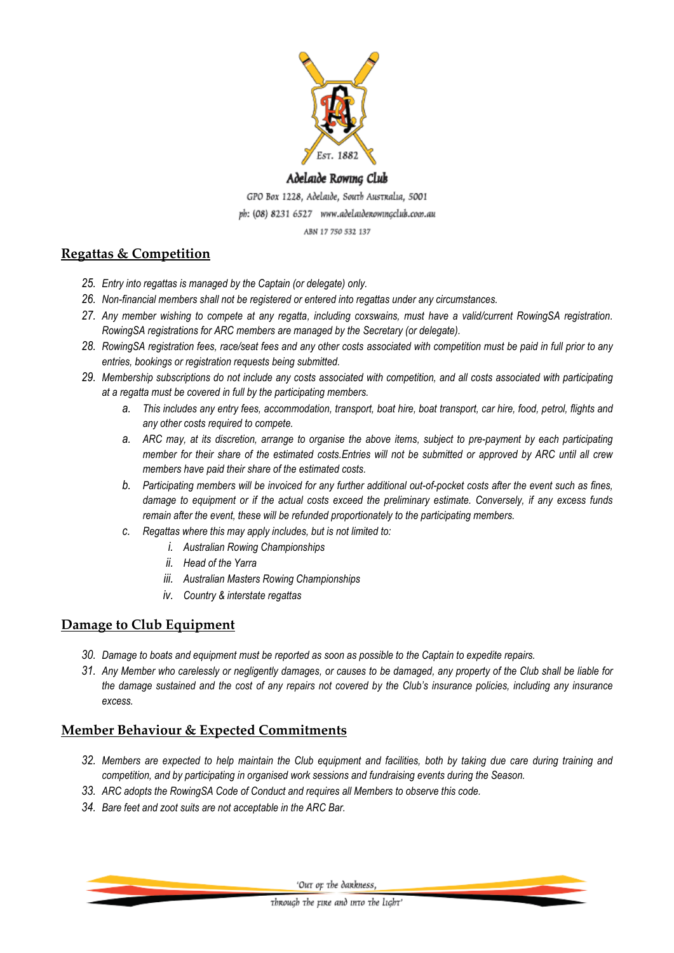

#### Adelaide Rowing Club

GPO Box 1228, Adelaide, South Australia, 5001 ph: (08) 8231 6527 www.adelaidenowingclub.com.au

#### ABN 17 750 532 137

## **Regattas & Competition**

- *25. Entry into regattas is managed by the Captain (or delegate) only.*
- *26. Non-financial members shall not be registered or entered into regattas under any circumstances.*
- *27. Any member wishing to compete at any regatta, including coxswains, must have a valid/current RowingSA registration. RowingSA registrations for ARC members are managed by the Secretary (or delegate).*
- *28. RowingSA registration fees, race/seat fees and any other costs associated with competition must be paid in full prior to any entries, bookings or registration requests being submitted.*
- *29. Membership subscriptions do not include any costs associated with competition, and all costs associated with participating at a regatta must be covered in full by the participating members.* 
	- *a. This includes any entry fees, accommodation, transport, boat hire, boat transport, car hire, food, petrol, flights and any other costs required to compete.*
	- *a. ARC may, at its discretion, arrange to organise the above items, subject to pre-payment by each participating member for their share of the estimated costs.Entries will not be submitted or approved by ARC until all crew members have paid their share of the estimated costs.*
	- *b. Participating members will be invoiced for any further additional out-of-pocket costs after the event such as fines, damage to equipment or if the actual costs exceed the preliminary estimate. Conversely, if any excess funds remain after the event, these will be refunded proportionately to the participating members.*
	- *c. Regattas where this may apply includes, but is not limited to:*
		- *i. Australian Rowing Championships*
		- *ii. Head of the Yarra*
		- *iii. Australian Masters Rowing Championships*
		- *iv. Country & interstate regattas*

## **Damage to Club Equipment**

- *30. Damage to boats and equipment must be reported as soon as possible to the Captain to expedite repairs.*
- *31. Any Member who carelessly or negligently damages, or causes to be damaged, any property of the Club shall be liable for the damage sustained and the cost of any repairs not covered by the Club's insurance policies, including any insurance excess.*

## **Member Behaviour & Expected Commitments**

- *32. Members are expected to help maintain the Club equipment and facilities, both by taking due care during training and competition, and by participating in organised work sessions and fundraising events during the Season.*
- *33. ARC adopts the RowingSA Code of Conduct and requires all Members to observe this code.*
- *34. Bare feet and zoot suits are not acceptable in the ARC Bar.*

'Out or the dankness,

through the rine and into the light'